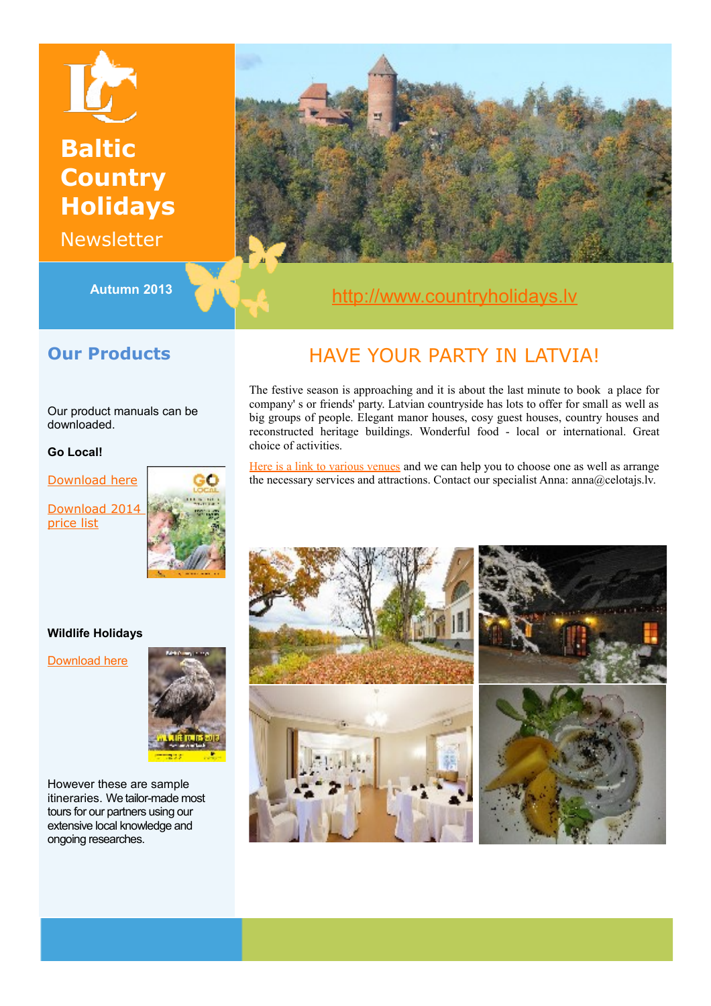# **Baltic Country Holidays**

Newsletter



## Autumn 2013 **Autumn 2013 [http://www.countryholidays.lv](http://www.countryholidays.lv/)**

### **Our Products**

Our product manuals can be downloaded.

#### **Go Local!**

[Download here](http://www.celotajs.lv/en/p/ebook/GoLocal_2013)

[Download 2014](file:///H:/LC/Newsletter/Autumn13/%20http://www.celotajs.lv/cont/tour/tours/files/Go_local_videja_lapa_en.pdf) [price list](file:///H:/LC/Newsletter/Autumn13/%20http://www.celotajs.lv/cont/tour/tours/files/Go_local_videja_lapa_en.pdf)



## HA[VE Y](http://www.facebook.com/pages/Lauku-Ce%C4%BCot%C4%81js-Baltic-Country-Holidays/172699416085321)OUR PARTY IN LATVIA!

The festive season is approaching and it is about the last minute to book a place for company' s or friends' party. Latvian countryside has lots to offer for small as well as big groups of people. Elegant manor houses, cosy guest houses, country houses and reconstructed heritage buildings. Wonderful food - local or international. Great choice of activities.

[Here is a link to various venues](http://www.celotajs.lv/en/entity/list/active/true/country/LV/locale/en/objectType/Accommodation/specializations/R-HMA-SEMINARS?29) and we can help you to choose one as well as arrange the necessary services and attractions. Contact our specialist Anna: anna@celotajs.lv.



#### **Wildlife Holidays**

[Download here](http://www.celotajs.lv/cont/tour/agent/manuals/wildlife/tures_wildlife_eng_komerc_e.pdf)



However these are sample itineraries. We tailor-made most tours for our partners using our extensive local knowledge and ongoing researches.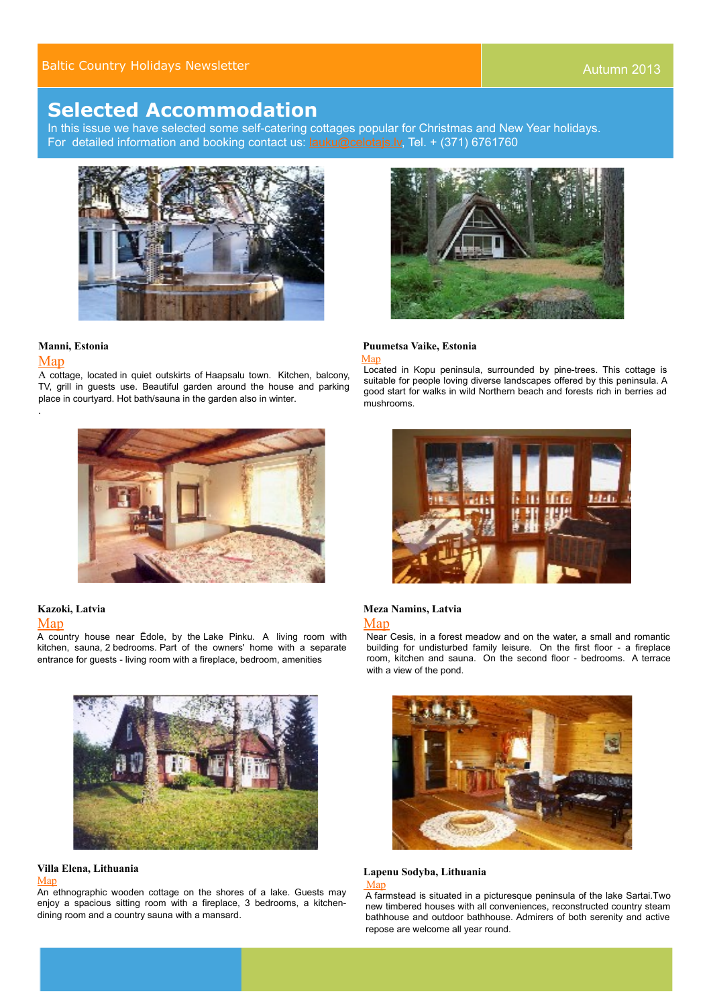### **Selected Accommodation**

In this issue we have selected some self-catering cottages popular for Christmas and New Year holidays. For detailed information and booking contact us: **lauku@celotajs.lv**, Tel. + (371) 6761760



#### **Manni, Estonia**

#### [Map](http://www.celotajs.lv/en/e/map/manni?10)

.

A cottage, located in quiet outskirts of Haapsalu town. Kitchen, balcony, TV, grill in guests use. Beautiful garden around the house and parking place in courtyard. Hot bath/sauna in the garden also in winter.



### **Kazoki, Latvia**

#### [Map](http://www.celotajs.lv/en/e/map/kazoki?1)

A country house near Ēdole, by the Lake Pinku. A living room with kitchen, sauna, 2 bedrooms. Part of the owners' home with a separate entrance for guests - living room with a fireplace, bedroom, amenities



#### **Villa Elena, Lithuania**

#### [Map](http://www.celotajs.lv/en/e/map/villaelena?15)

An ethnographic wooden cottage on the shores of a lake. Guests may enjoy a spacious sitting room with a fireplace, 3 bedrooms, a kitchendining room and a country sauna with a mansard.



#### **Puumetsa Vaike, Estonia** [Map](http://www.celotajs.lv/en/e/map/puumetsavaike?26)

Located in Kopu peninsula, surrounded by pine-trees. This cottage is suitable for people loving diverse landscapes offered by this peninsula. A good start for walks in wild Northern beach and forests rich in berries ad mushrooms.



#### **Meza Namins, Latvia** [Map](http://www.celotajs.lv/en/e/map/ezerklabimezanamins?7)

Near Cesis, in a forest meadow and on the water, a small and romantic building for undisturbed family leisure. On the first floor - a fireplace room, kitchen and sauna. On the second floor - bedrooms. A terrace with a view of the pond.



#### **Lapenu Sodyba, Lithuania Map**

A farmstead is situated in a picturesque peninsula of the lake Sartai.Two new timbered houses with all conveniences, reconstructed country steam bathhouse and outdoor bathhouse. Admirers of both serenity and active repose are welcome all year round.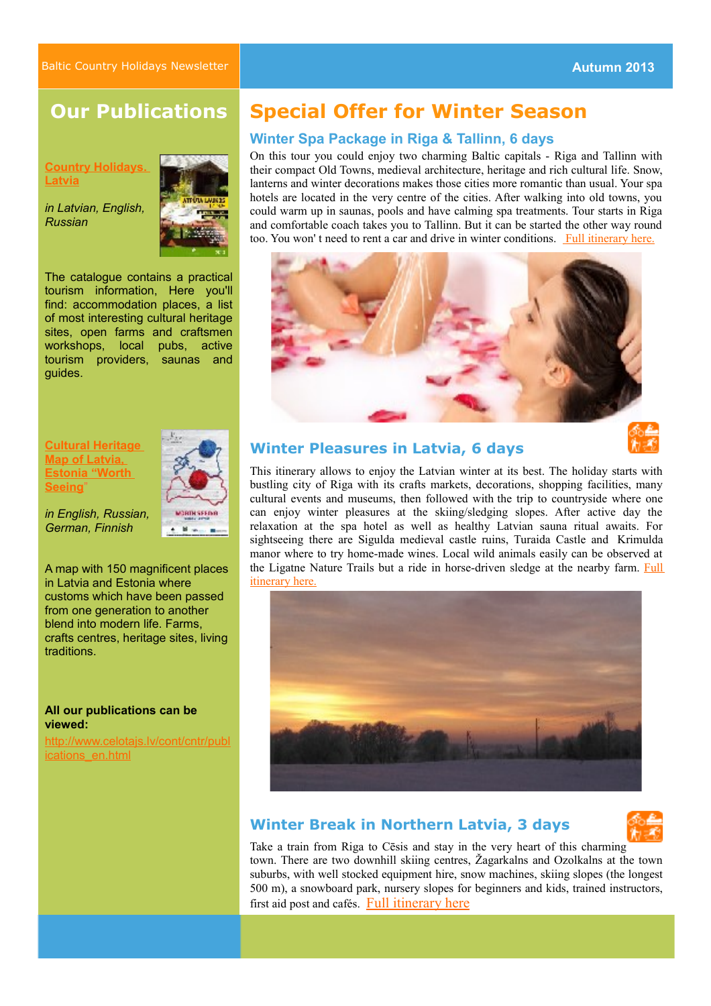### **Our Publications**

**[Country Holidays.](http://www.celotajs.lv/en/p/ebook/CountryHolidays2013#/Chapter%201) [Latvia](http://www.celotajs.lv/en/p/ebook/CountryHolidays2013#/Chapter%201)**

*in Latvian, English, Russian*



CRINSFERA

The catalogue contains a practical tourism information, Here you'll find: accommodation places, a list of most interesting cultural heritage sites, open farms and craftsmen workshops, local pubs, active tourism providers, saunas and guides.

#### **[Cultural Heritage](http://www.celotajs.lv/en/p/files/CulturalHeritageMap2013?97) [Map of Latvia,](http://www.celotajs.lv/en/p/files/CulturalHeritageMap2013?97)  [Estonia "Worth](http://www.celotajs.lv/en/p/files/CulturalHeritageMap2013?97) [Seeing](http://www.celotajs.lv/en/p/files/CulturalHeritageMap2013?97)**["](http://www.celotajs.lv/en/p/files/CulturalHeritageMap2013?97)

*in English, Russian, German, Finnish*

A map with 150 magnificent places in Latvia and Estonia where customs which have been passed from one generation to another blend into modern life. Farms, crafts centres, heritage sites, living traditions.

#### **All our publications can be viewed:**

[http://www.celotajs.lv/cont/cntr/publ](http://www.celotajs.lv/cont/cntr/publications_en.html) [ications\\_en.html](http://www.celotajs.lv/cont/cntr/publications_en.html)

### **Special Offer for Winter Season**

#### **Winter Spa Package in Riga & Tallinn, 6 days**

On this tour you could enjoy two charming Baltic capitals - Riga and Tallinn with their compact Old Towns, medieval architecture, heritage and rich cultural life. Snow, lanterns and winter decorations makes those cities more romantic than usual. Your spa hotels are located in the very centre of the cities. After walking into old towns, you could warm up in saunas, pools and have calming spa treatments. Tour starts in Riga and comfortable coach takes you to Tallinn. But it can be started the other way round too. You won' t need to rent a car and drive in winter conditions. [Full itinerary here.](http://www.celotajs.lv/cont/tour/tours/Winter_offer_en.html)



### **Winter Pleasures in Latvia, 6 days**

This itinerary allows to enjoy the Latvian winter at its best. The holiday starts with bustling city of Riga with its crafts markets, decorations, shopping facilities, many cultural events and museums, then followed with the trip to countryside where one can enjoy winter pleasures at the skiing/sledging slopes. After active day the relaxation at the spa hotel as well as healthy Latvian sauna ritual awaits. For sightseeing there are Sigulda medieval castle ruins, Turaida Castle and Krimulda manor where to try home-made wines. Local wild animals easily can be observed at the Ligatne Nature Trails but a ride in horse-driven sledge at the nearby farm. [Full](http://www.celotajs.lv/en/e/winterpleasuresinlatvia?51) [itinerary here.](http://www.celotajs.lv/en/e/winterpleasuresinlatvia?51)



### **Winter Break in Northern Latvia, 3 days**



Take a train from Riga to Cēsis and stay in the very heart of this charming town. There are two downhill skiing centres, Žagarkalns and Ozolkalns at the town suburbs, with well stocked equipment hire, snow machines, skiing slopes (the longest 500 m), a snowboard park, nursery slopes for beginners and kids, trained instructors, first aid post and cafés. [Full itinerary here](http://www.celotajs.lv/en/e/winterbreak?52)